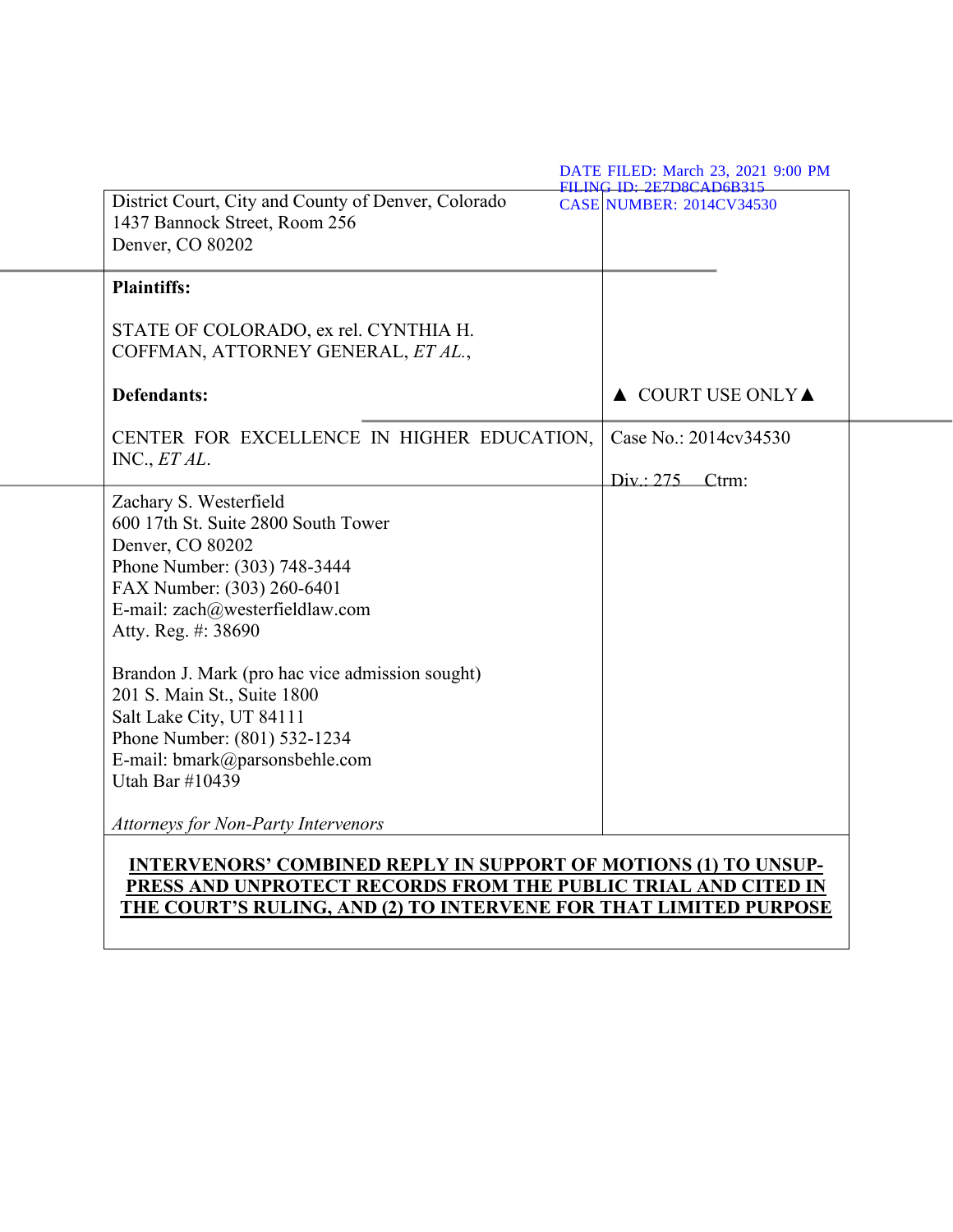| District Court, City and County of Denver, Colorado<br>1437 Bannock Street, Room 256<br>Denver, CO 80202 | <b>CASE NUMBER: 2014CV34530</b>        |
|----------------------------------------------------------------------------------------------------------|----------------------------------------|
| <b>Plaintiffs:</b>                                                                                       |                                        |
| STATE OF COLORADO, ex rel. CYNTHIA H.<br>COFFMAN, ATTORNEY GENERAL, ET AL.,                              |                                        |
| <b>Defendants:</b>                                                                                       | $\triangle$ COURT USE ONLY $\triangle$ |
| CENTER FOR EXCELLENCE IN HIGHER EDUCATION,                                                               | Case No.: 2014cv34530                  |
| INC., ET AL.                                                                                             | $Div: 275$ Ctrm:                       |
| Zachary S. Westerfield                                                                                   |                                        |
| 600 17th St. Suite 2800 South Tower                                                                      |                                        |
| Denver, CO 80202                                                                                         |                                        |
| Phone Number: (303) 748-3444<br>FAX Number: (303) 260-6401                                               |                                        |
| E-mail: zach@westerfieldlaw.com                                                                          |                                        |
| Atty. Reg. #: 38690                                                                                      |                                        |
| Brandon J. Mark (pro hac vice admission sought)                                                          |                                        |
| 201 S. Main St., Suite 1800                                                                              |                                        |
| Salt Lake City, UT 84111                                                                                 |                                        |
| Phone Number: (801) 532-1234                                                                             |                                        |
| E-mail: bmark@parsonsbehle.com                                                                           |                                        |
| Utah Bar #10439                                                                                          |                                        |
| Attorneys for Non-Party Intervenors                                                                      |                                        |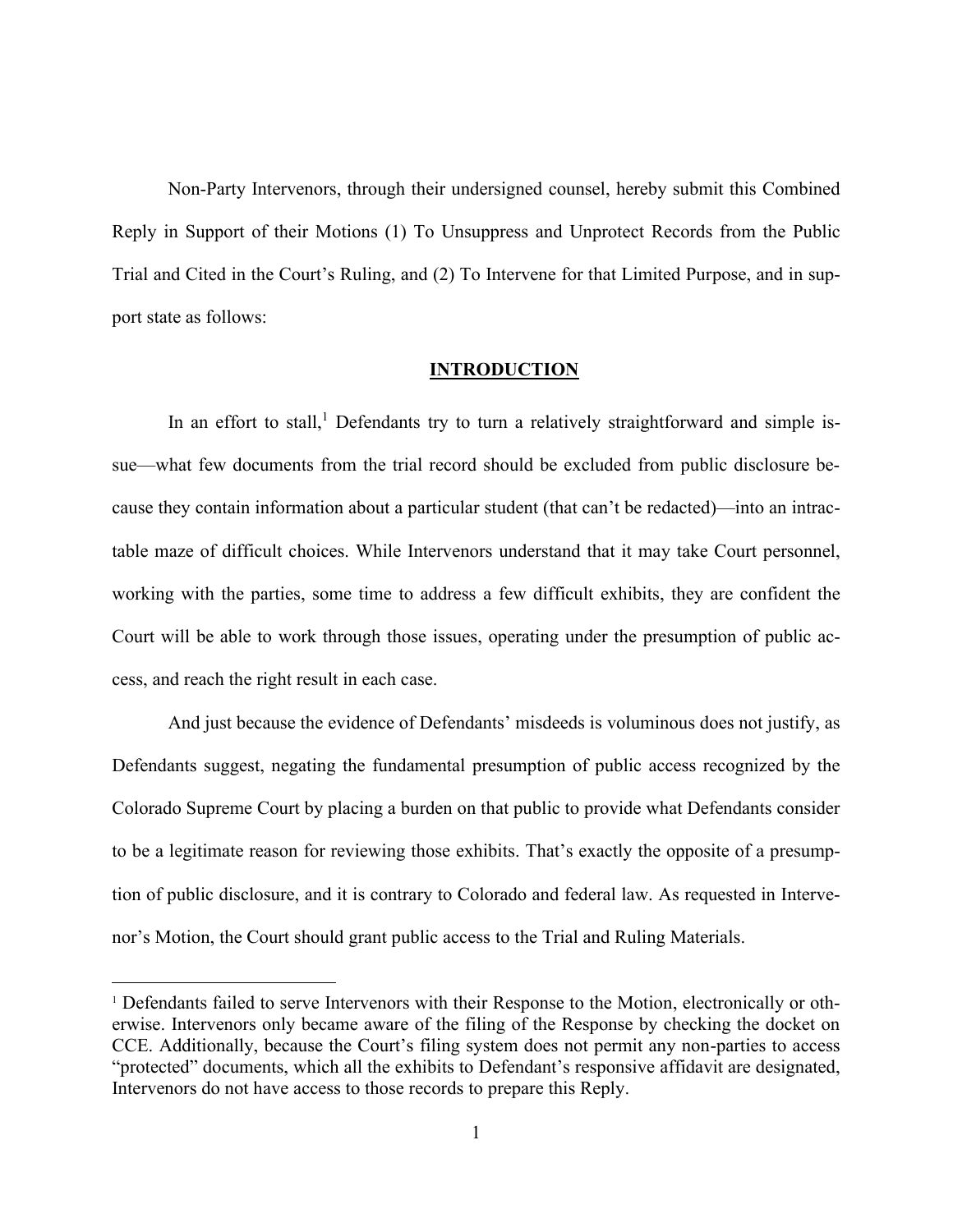Non-Party Intervenors, through their undersigned counsel, hereby submit this Combined Reply in Support of their Motions (1) To Unsuppress and Unprotect Records from the Public Trial and Cited in the Court's Ruling, and (2) To Intervene for that Limited Purpose, and in support state as follows:

### **INTRODUCTION**

In an effort to stall,<sup>1</sup> Defendants try to turn a relatively straightforward and simple issue—what few documents from the trial record should be excluded from public disclosure because they contain information about a particular student (that can't be redacted)—into an intractable maze of difficult choices. While Intervenors understand that it may take Court personnel, working with the parties, some time to address a few difficult exhibits, they are confident the Court will be able to work through those issues, operating under the presumption of public access, and reach the right result in each case.

And just because the evidence of Defendants' misdeeds is voluminous does not justify, as Defendants suggest, negating the fundamental presumption of public access recognized by the Colorado Supreme Court by placing a burden on that public to provide what Defendants consider to be a legitimate reason for reviewing those exhibits. That's exactly the opposite of a presumption of public disclosure, and it is contrary to Colorado and federal law. As requested in Intervenor's Motion, the Court should grant public access to the Trial and Ruling Materials.

<sup>1</sup> Defendants failed to serve Intervenors with their Response to the Motion, electronically or otherwise. Intervenors only became aware of the filing of the Response by checking the docket on CCE. Additionally, because the Court's filing system does not permit any non-parties to access "protected" documents, which all the exhibits to Defendant's responsive affidavit are designated, Intervenors do not have access to those records to prepare this Reply.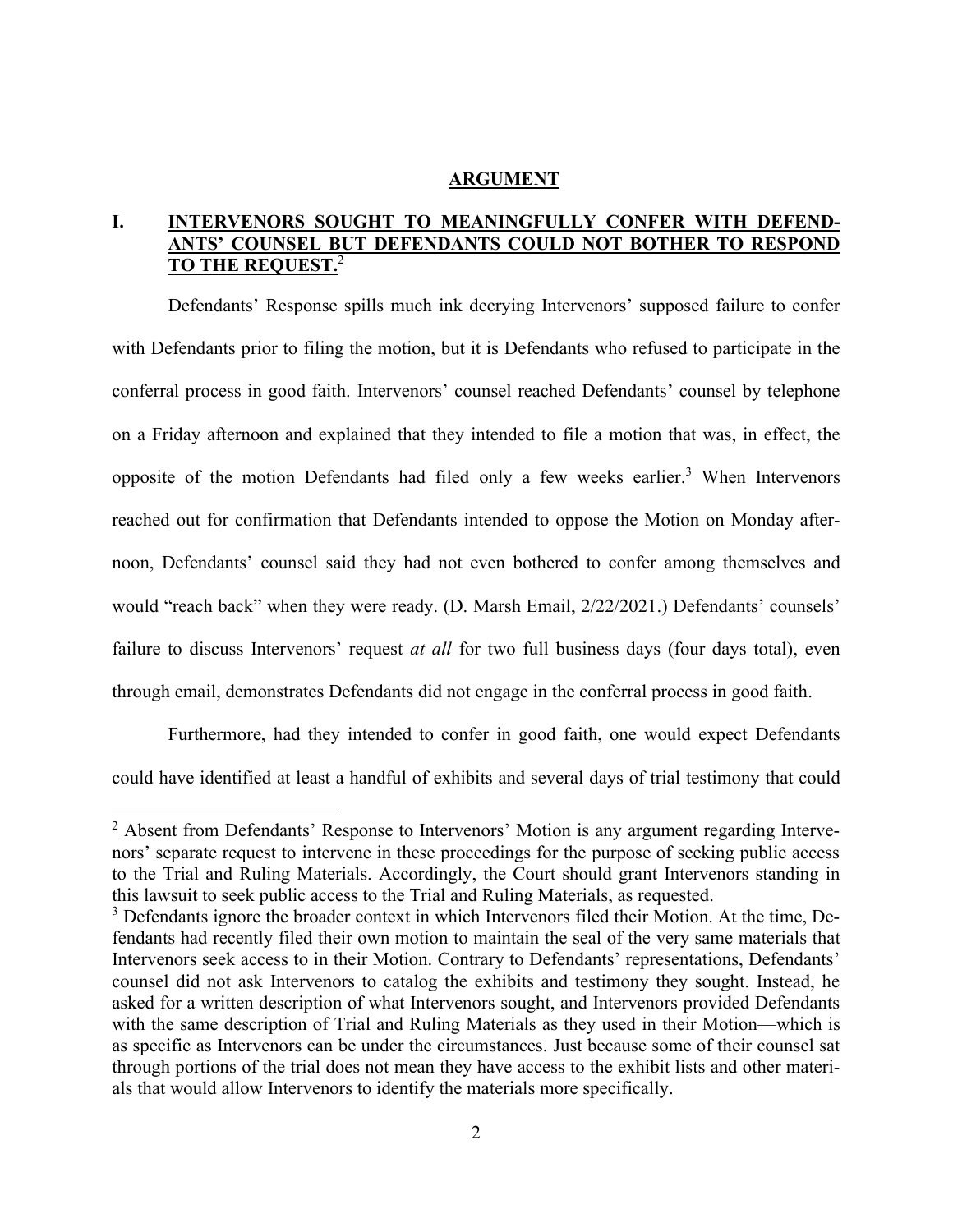#### **ARGUMENT**

# **I. INTERVENORS SOUGHT TO MEANINGFULLY CONFER WITH DEFEND-ANTS' COUNSEL BUT DEFENDANTS COULD NOT BOTHER TO RESPOND TO THE REQUEST.**<sup>2</sup>

Defendants' Response spills much ink decrying Intervenors' supposed failure to confer with Defendants prior to filing the motion, but it is Defendants who refused to participate in the conferral process in good faith. Intervenors' counsel reached Defendants' counsel by telephone on a Friday afternoon and explained that they intended to file a motion that was, in effect, the opposite of the motion Defendants had filed only a few weeks earlier.<sup>3</sup> When Intervenors reached out for confirmation that Defendants intended to oppose the Motion on Monday afternoon, Defendants' counsel said they had not even bothered to confer among themselves and would "reach back" when they were ready. (D. Marsh Email, 2/22/2021.) Defendants' counsels' failure to discuss Intervenors' request *at all* for two full business days (four days total), even through email, demonstrates Defendants did not engage in the conferral process in good faith.

Furthermore, had they intended to confer in good faith, one would expect Defendants could have identified at least a handful of exhibits and several days of trial testimony that could

<sup>&</sup>lt;sup>2</sup> Absent from Defendants' Response to Intervenors' Motion is any argument regarding Intervenors' separate request to intervene in these proceedings for the purpose of seeking public access to the Trial and Ruling Materials. Accordingly, the Court should grant Intervenors standing in this lawsuit to seek public access to the Trial and Ruling Materials, as requested.

<sup>&</sup>lt;sup>3</sup> Defendants ignore the broader context in which Intervenors filed their Motion. At the time, Defendants had recently filed their own motion to maintain the seal of the very same materials that Intervenors seek access to in their Motion. Contrary to Defendants' representations, Defendants' counsel did not ask Intervenors to catalog the exhibits and testimony they sought. Instead, he asked for a written description of what Intervenors sought, and Intervenors provided Defendants with the same description of Trial and Ruling Materials as they used in their Motion—which is as specific as Intervenors can be under the circumstances. Just because some of their counsel sat through portions of the trial does not mean they have access to the exhibit lists and other materials that would allow Intervenors to identify the materials more specifically.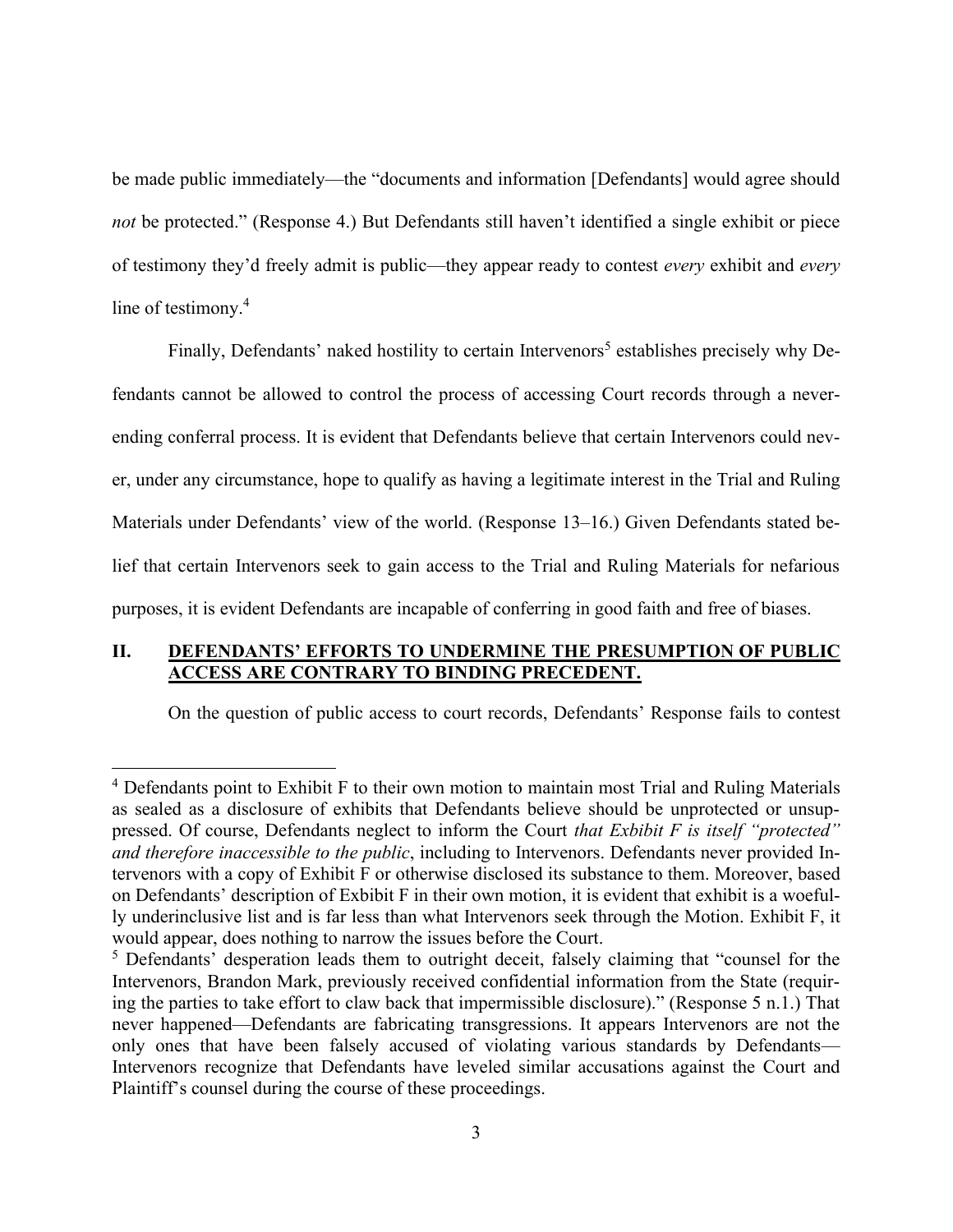be made public immediately—the "documents and information [Defendants] would agree should *not* be protected." (Response 4.) But Defendants still haven't identified a single exhibit or piece of testimony they'd freely admit is public—they appear ready to contest *every* exhibit and *every* line of testimony.<sup>4</sup>

Finally, Defendants' naked hostility to certain Intervenors<sup>5</sup> establishes precisely why Defendants cannot be allowed to control the process of accessing Court records through a neverending conferral process. It is evident that Defendants believe that certain Intervenors could never, under any circumstance, hope to qualify as having a legitimate interest in the Trial and Ruling Materials under Defendants' view of the world. (Response 13–16.) Given Defendants stated belief that certain Intervenors seek to gain access to the Trial and Ruling Materials for nefarious purposes, it is evident Defendants are incapable of conferring in good faith and free of biases.

# **II. DEFENDANTS' EFFORTS TO UNDERMINE THE PRESUMPTION OF PUBLIC ACCESS ARE CONTRARY TO BINDING PRECEDENT.**

On the question of public access to court records, Defendants' Response fails to contest

<sup>&</sup>lt;sup>4</sup> Defendants point to Exhibit F to their own motion to maintain most Trial and Ruling Materials as sealed as a disclosure of exhibits that Defendants believe should be unprotected or unsuppressed. Of course, Defendants neglect to inform the Court *that Exbibit F is itself "protected" and therefore inaccessible to the public*, including to Intervenors. Defendants never provided Intervenors with a copy of Exhibit F or otherwise disclosed its substance to them. Moreover, based on Defendants' description of Exbibit F in their own motion, it is evident that exhibit is a woefully underinclusive list and is far less than what Intervenors seek through the Motion. Exhibit F, it would appear, does nothing to narrow the issues before the Court.

<sup>&</sup>lt;sup>5</sup> Defendants' desperation leads them to outright deceit, falsely claiming that "counsel for the Intervenors, Brandon Mark, previously received confidential information from the State (requiring the parties to take effort to claw back that impermissible disclosure)." (Response 5 n.1.) That never happened—Defendants are fabricating transgressions. It appears Intervenors are not the only ones that have been falsely accused of violating various standards by Defendants— Intervenors recognize that Defendants have leveled similar accusations against the Court and Plaintiff's counsel during the course of these proceedings.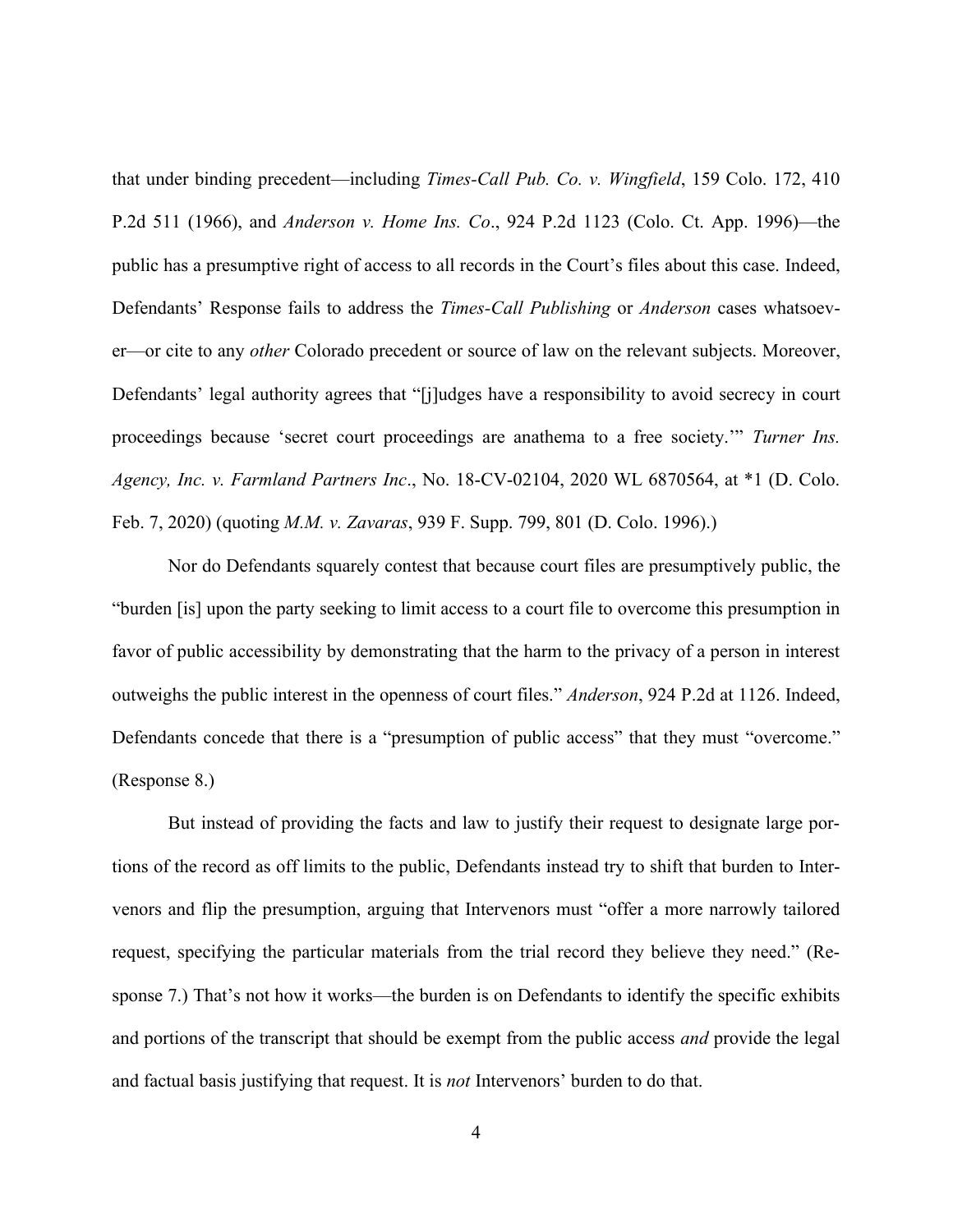that under binding precedent—including *Times-Call Pub. Co. v. Wingfield*, 159 Colo. 172, 410 P.2d 511 (1966), and *Anderson v. Home Ins. Co*., 924 P.2d 1123 (Colo. Ct. App. 1996)—the public has a presumptive right of access to all records in the Court's files about this case. Indeed, Defendants' Response fails to address the *Times-Call Publishing* or *Anderson* cases whatsoever—or cite to any *other* Colorado precedent or source of law on the relevant subjects. Moreover, Defendants' legal authority agrees that "[j]udges have a responsibility to avoid secrecy in court proceedings because 'secret court proceedings are anathema to a free society.'" *Turner Ins. Agency, Inc. v. Farmland Partners Inc*., No. 18-CV-02104, 2020 WL 6870564, at \*1 (D. Colo. Feb. 7, 2020) (quoting *M.M. v. Zavaras*, 939 F. Supp. 799, 801 (D. Colo. 1996).)

Nor do Defendants squarely contest that because court files are presumptively public, the "burden [is] upon the party seeking to limit access to a court file to overcome this presumption in favor of public accessibility by demonstrating that the harm to the privacy of a person in interest outweighs the public interest in the openness of court files." *Anderson*, 924 P.2d at 1126. Indeed, Defendants concede that there is a "presumption of public access" that they must "overcome." (Response 8.)

But instead of providing the facts and law to justify their request to designate large portions of the record as off limits to the public, Defendants instead try to shift that burden to Intervenors and flip the presumption, arguing that Intervenors must "offer a more narrowly tailored request, specifying the particular materials from the trial record they believe they need." (Response 7.) That's not how it works—the burden is on Defendants to identify the specific exhibits and portions of the transcript that should be exempt from the public access *and* provide the legal and factual basis justifying that request. It is *not* Intervenors' burden to do that.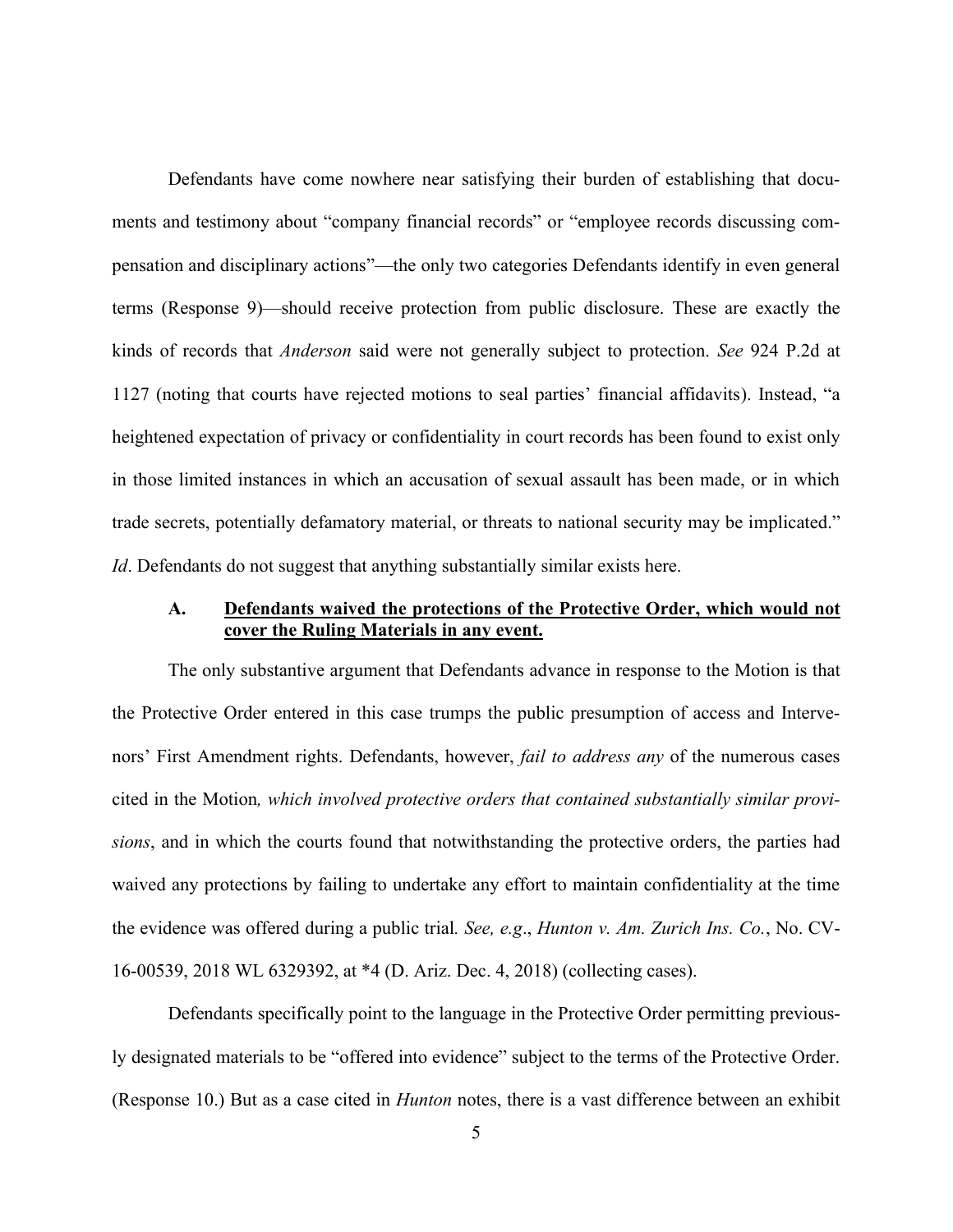Defendants have come nowhere near satisfying their burden of establishing that documents and testimony about "company financial records" or "employee records discussing compensation and disciplinary actions"—the only two categories Defendants identify in even general terms (Response 9)—should receive protection from public disclosure. These are exactly the kinds of records that *Anderson* said were not generally subject to protection. *See* 924 P.2d at 1127 (noting that courts have rejected motions to seal parties' financial affidavits). Instead, "a heightened expectation of privacy or confidentiality in court records has been found to exist only in those limited instances in which an accusation of sexual assault has been made, or in which trade secrets, potentially defamatory material, or threats to national security may be implicated." *Id*. Defendants do not suggest that anything substantially similar exists here.

# **A. Defendants waived the protections of the Protective Order, which would not cover the Ruling Materials in any event.**

The only substantive argument that Defendants advance in response to the Motion is that the Protective Order entered in this case trumps the public presumption of access and Intervenors' First Amendment rights. Defendants, however, *fail to address any* of the numerous cases cited in the Motion*, which involved protective orders that contained substantially similar provisions*, and in which the courts found that notwithstanding the protective orders, the parties had waived any protections by failing to undertake any effort to maintain confidentiality at the time the evidence was offered during a public trial*. See, e.g*., *Hunton v. Am. Zurich Ins. Co.*, No. CV-16-00539, 2018 WL 6329392, at \*4 (D. Ariz. Dec. 4, 2018) (collecting cases).

Defendants specifically point to the language in the Protective Order permitting previously designated materials to be "offered into evidence" subject to the terms of the Protective Order. (Response 10.) But as a case cited in *Hunton* notes, there is a vast difference between an exhibit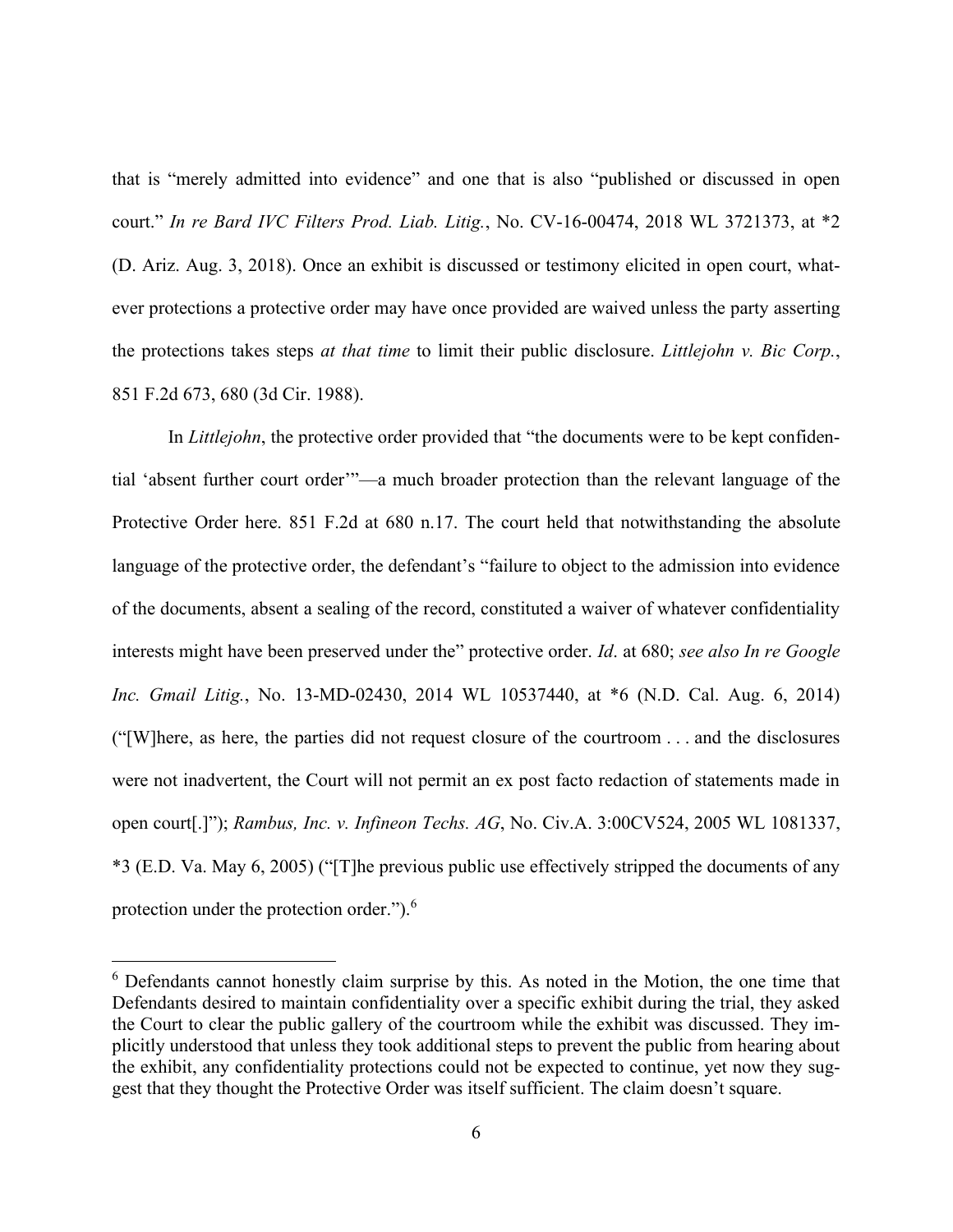that is "merely admitted into evidence" and one that is also "published or discussed in open court." *In re Bard IVC Filters Prod. Liab. Litig.*, No. CV-16-00474, 2018 WL 3721373, at \*2 (D. Ariz. Aug. 3, 2018). Once an exhibit is discussed or testimony elicited in open court, whatever protections a protective order may have once provided are waived unless the party asserting the protections takes steps *at that time* to limit their public disclosure. *Littlejohn v. Bic Corp.*, 851 F.2d 673, 680 (3d Cir. 1988).

In *Littlejohn*, the protective order provided that "the documents were to be kept confidential 'absent further court order'"—a much broader protection than the relevant language of the Protective Order here. 851 F.2d at 680 n.17. The court held that notwithstanding the absolute language of the protective order, the defendant's "failure to object to the admission into evidence of the documents, absent a sealing of the record, constituted a waiver of whatever confidentiality interests might have been preserved under the" protective order. *Id*. at 680; *see also In re Google Inc. Gmail Litig.*, No. 13-MD-02430, 2014 WL 10537440, at \*6 (N.D. Cal. Aug. 6, 2014) ("[W]here, as here, the parties did not request closure of the courtroom . . . and the disclosures were not inadvertent, the Court will not permit an ex post facto redaction of statements made in open court[.]"); *Rambus, Inc. v. Infineon Techs. AG*, No. Civ.A. 3:00CV524, 2005 WL 1081337, \*3 (E.D. Va. May 6, 2005) ("[T]he previous public use effectively stripped the documents of any protection under the protection order.").<sup>6</sup>

<sup>6</sup> Defendants cannot honestly claim surprise by this. As noted in the Motion, the one time that Defendants desired to maintain confidentiality over a specific exhibit during the trial, they asked the Court to clear the public gallery of the courtroom while the exhibit was discussed. They implicitly understood that unless they took additional steps to prevent the public from hearing about the exhibit, any confidentiality protections could not be expected to continue, yet now they suggest that they thought the Protective Order was itself sufficient. The claim doesn't square.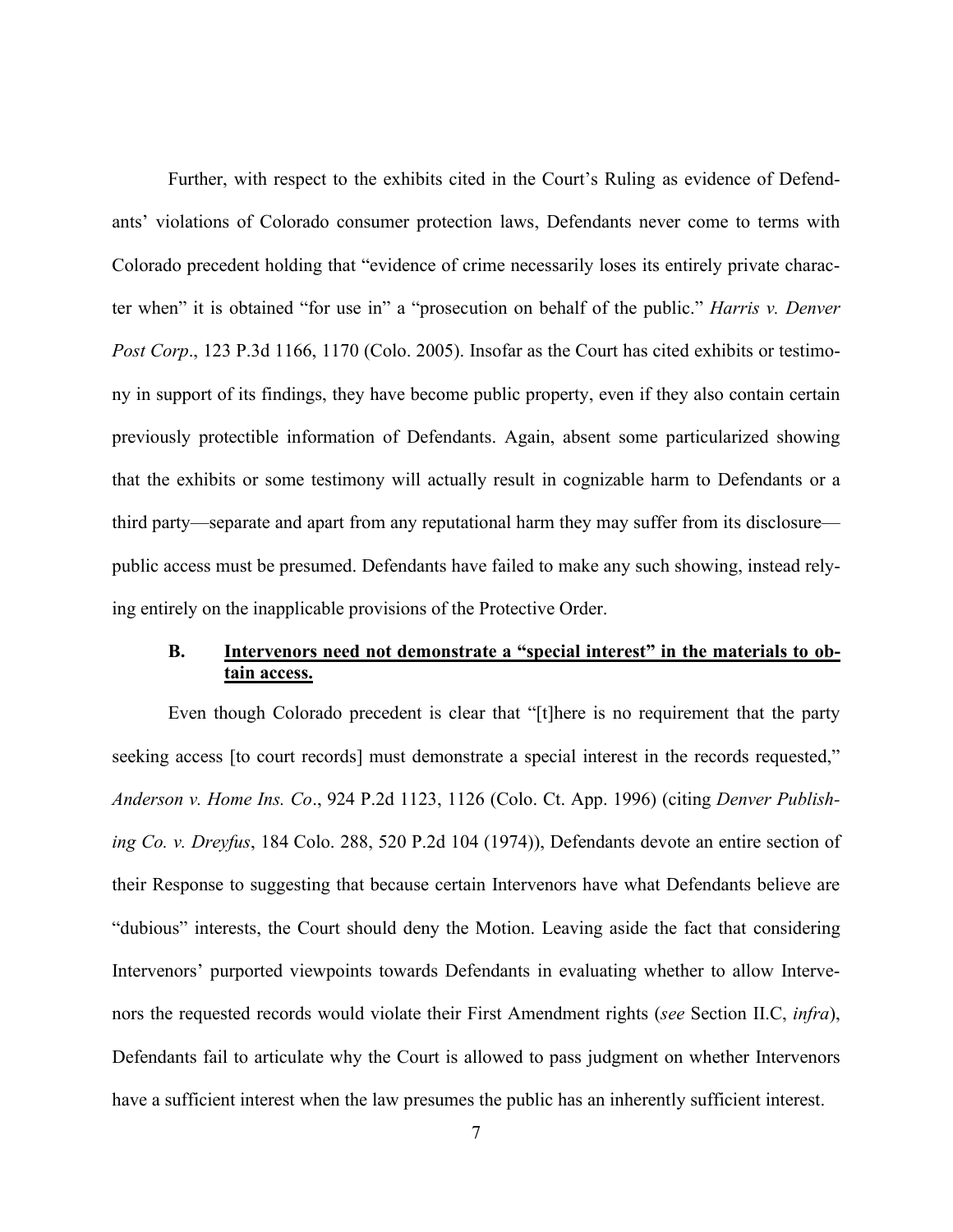Further, with respect to the exhibits cited in the Court's Ruling as evidence of Defendants' violations of Colorado consumer protection laws, Defendants never come to terms with Colorado precedent holding that "evidence of crime necessarily loses its entirely private character when" it is obtained "for use in" a "prosecution on behalf of the public." *Harris v. Denver Post Corp*., 123 P.3d 1166, 1170 (Colo. 2005). Insofar as the Court has cited exhibits or testimony in support of its findings, they have become public property, even if they also contain certain previously protectible information of Defendants. Again, absent some particularized showing that the exhibits or some testimony will actually result in cognizable harm to Defendants or a third party—separate and apart from any reputational harm they may suffer from its disclosure public access must be presumed. Defendants have failed to make any such showing, instead relying entirely on the inapplicable provisions of the Protective Order.

## **B. Intervenors need not demonstrate a "special interest" in the materials to obtain access.**

Even though Colorado precedent is clear that "[t]here is no requirement that the party seeking access [to court records] must demonstrate a special interest in the records requested," *Anderson v. Home Ins. Co*., 924 P.2d 1123, 1126 (Colo. Ct. App. 1996) (citing *Denver Publishing Co. v. Dreyfus*, 184 Colo. 288, 520 P.2d 104 (1974)), Defendants devote an entire section of their Response to suggesting that because certain Intervenors have what Defendants believe are "dubious" interests, the Court should deny the Motion. Leaving aside the fact that considering Intervenors' purported viewpoints towards Defendants in evaluating whether to allow Intervenors the requested records would violate their First Amendment rights (*see* Section II.C, *infra*), Defendants fail to articulate why the Court is allowed to pass judgment on whether Intervenors have a sufficient interest when the law presumes the public has an inherently sufficient interest.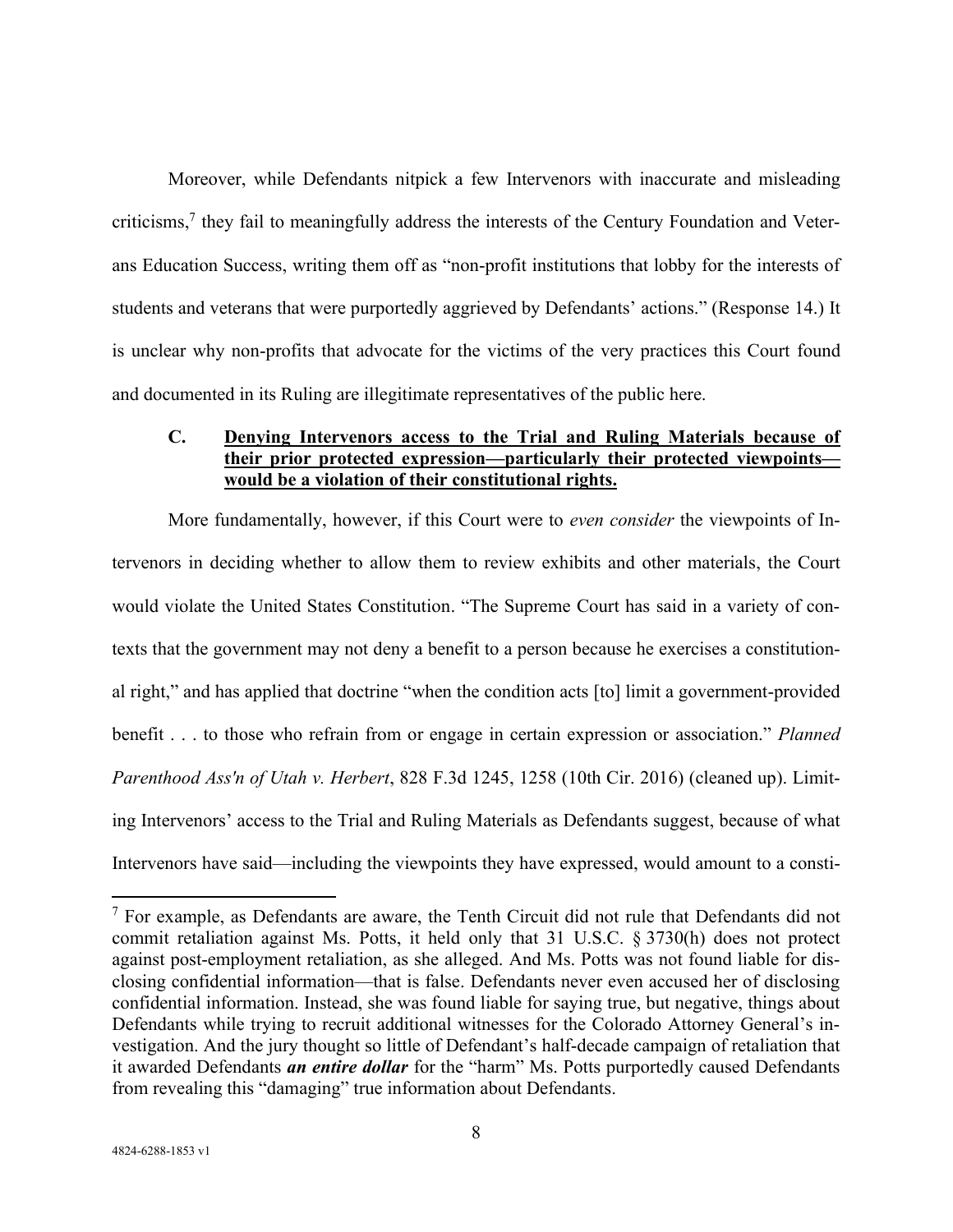Moreover, while Defendants nitpick a few Intervenors with inaccurate and misleading criticisms,<sup>7</sup> they fail to meaningfully address the interests of the Century Foundation and Veterans Education Success, writing them off as "non-profit institutions that lobby for the interests of students and veterans that were purportedly aggrieved by Defendants' actions." (Response 14.) It is unclear why non-profits that advocate for the victims of the very practices this Court found and documented in its Ruling are illegitimate representatives of the public here.

### **C. Denying Intervenors access to the Trial and Ruling Materials because of their prior protected expression—particularly their protected viewpoints would be a violation of their constitutional rights.**

More fundamentally, however, if this Court were to *even consider* the viewpoints of Intervenors in deciding whether to allow them to review exhibits and other materials, the Court would violate the United States Constitution. "The Supreme Court has said in a variety of contexts that the government may not deny a benefit to a person because he exercises a constitutional right," and has applied that doctrine "when the condition acts [to] limit a government-provided benefit . . . to those who refrain from or engage in certain expression or association." *Planned Parenthood Ass'n of Utah v. Herbert*, 828 F.3d 1245, 1258 (10th Cir. 2016) (cleaned up). Limiting Intervenors' access to the Trial and Ruling Materials as Defendants suggest, because of what Intervenors have said—including the viewpoints they have expressed, would amount to a consti-

 $<sup>7</sup>$  For example, as Defendants are aware, the Tenth Circuit did not rule that Defendants did not</sup> commit retaliation against Ms. Potts, it held only that 31 U.S.C. § 3730(h) does not protect against post-employment retaliation, as she alleged. And Ms. Potts was not found liable for disclosing confidential information—that is false. Defendants never even accused her of disclosing confidential information. Instead, she was found liable for saying true, but negative, things about Defendants while trying to recruit additional witnesses for the Colorado Attorney General's investigation. And the jury thought so little of Defendant's half-decade campaign of retaliation that it awarded Defendants *an entire dollar* for the "harm" Ms. Potts purportedly caused Defendants from revealing this "damaging" true information about Defendants.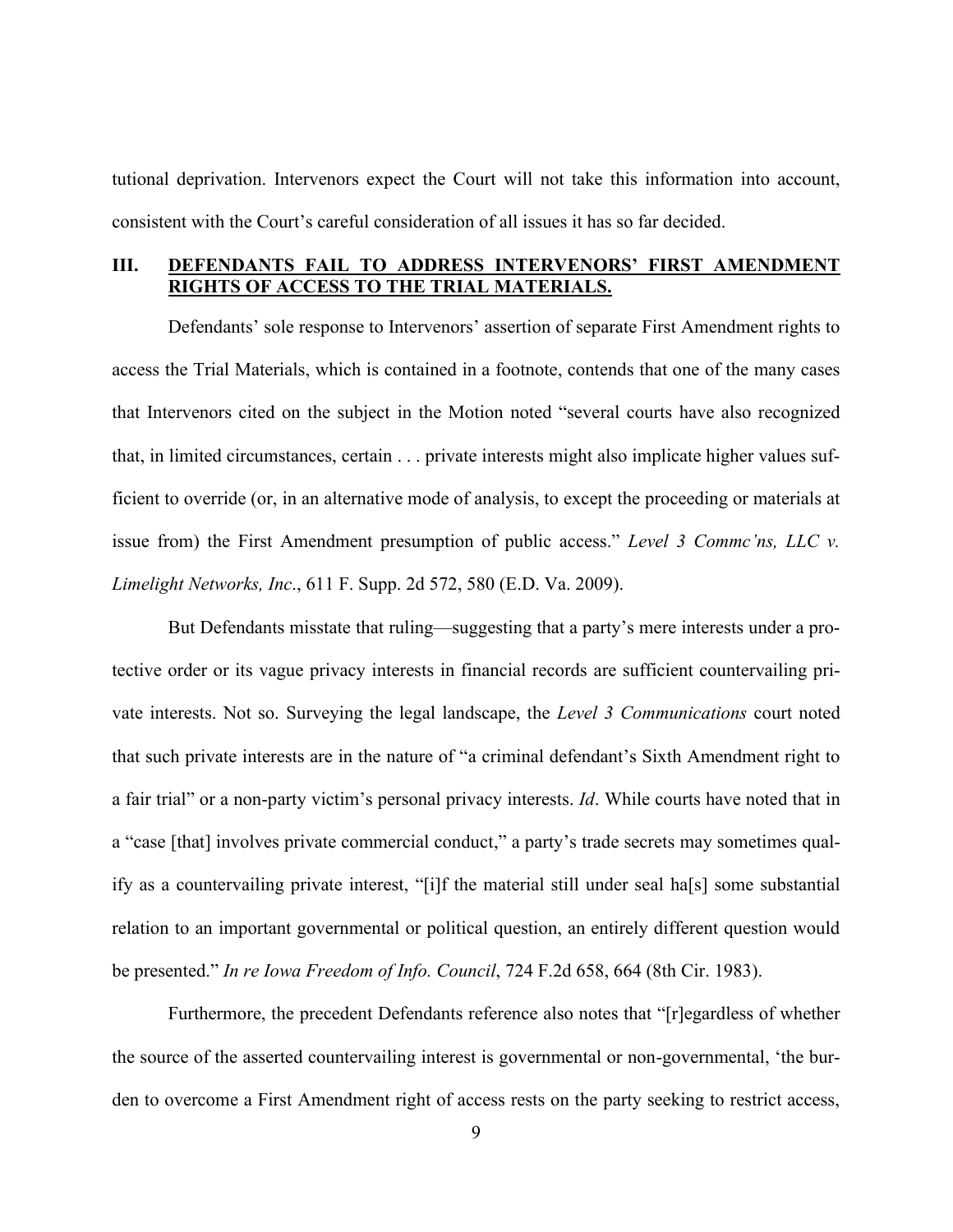tutional deprivation. Intervenors expect the Court will not take this information into account, consistent with the Court's careful consideration of all issues it has so far decided.

## **III. DEFENDANTS FAIL TO ADDRESS INTERVENORS' FIRST AMENDMENT RIGHTS OF ACCESS TO THE TRIAL MATERIALS.**

Defendants' sole response to Intervenors' assertion of separate First Amendment rights to access the Trial Materials, which is contained in a footnote, contends that one of the many cases that Intervenors cited on the subject in the Motion noted "several courts have also recognized that, in limited circumstances, certain . . . private interests might also implicate higher values sufficient to override (or, in an alternative mode of analysis, to except the proceeding or materials at issue from) the First Amendment presumption of public access." *Level 3 Commc'ns, LLC v. Limelight Networks, Inc*., 611 F. Supp. 2d 572, 580 (E.D. Va. 2009).

But Defendants misstate that ruling—suggesting that a party's mere interests under a protective order or its vague privacy interests in financial records are sufficient countervailing private interests. Not so. Surveying the legal landscape, the *Level 3 Communications* court noted that such private interests are in the nature of "a criminal defendant's Sixth Amendment right to a fair trial" or a non-party victim's personal privacy interests. *Id*. While courts have noted that in a "case [that] involves private commercial conduct," a party's trade secrets may sometimes qualify as a countervailing private interest, "[i]f the material still under seal ha[s] some substantial relation to an important governmental or political question, an entirely different question would be presented." *In re Iowa Freedom of Info. Council*, 724 F.2d 658, 664 (8th Cir. 1983).

Furthermore, the precedent Defendants reference also notes that "[r]egardless of whether the source of the asserted countervailing interest is governmental or non-governmental, 'the burden to overcome a First Amendment right of access rests on the party seeking to restrict access,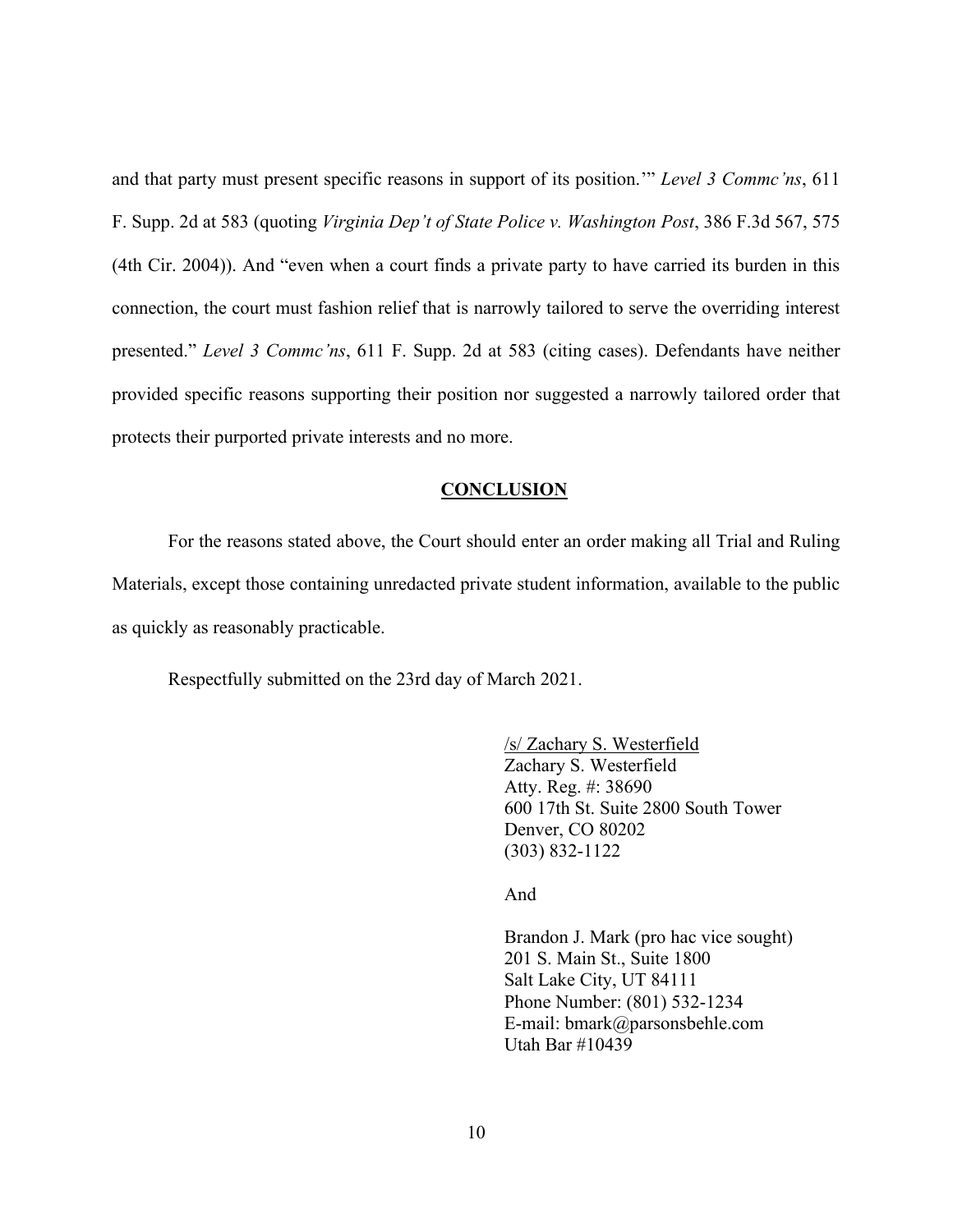and that party must present specific reasons in support of its position.'" *Level 3 Commc'ns*, 611 F. Supp. 2d at 583 (quoting *Virginia Dep't of State Police v. Washington Post*, 386 F.3d 567, 575 (4th Cir. 2004)). And "even when a court finds a private party to have carried its burden in this connection, the court must fashion relief that is narrowly tailored to serve the overriding interest presented." *Level 3 Commc'ns*, 611 F. Supp. 2d at 583 (citing cases). Defendants have neither provided specific reasons supporting their position nor suggested a narrowly tailored order that protects their purported private interests and no more.

### **CONCLUSION**

For the reasons stated above, the Court should enter an order making all Trial and Ruling Materials, except those containing unredacted private student information, available to the public as quickly as reasonably practicable.

Respectfully submitted on the 23rd day of March 2021.

/s/ Zachary S. Westerfield Zachary S. Westerfield Atty. Reg. #: 38690 600 17th St. Suite 2800 South Tower Denver, CO 80202 (303) 832-1122

And

Brandon J. Mark (pro hac vice sought) 201 S. Main St., Suite 1800 Salt Lake City, UT 84111 Phone Number: (801) 532-1234 E-mail: bmark@parsonsbehle.com Utah Bar #10439